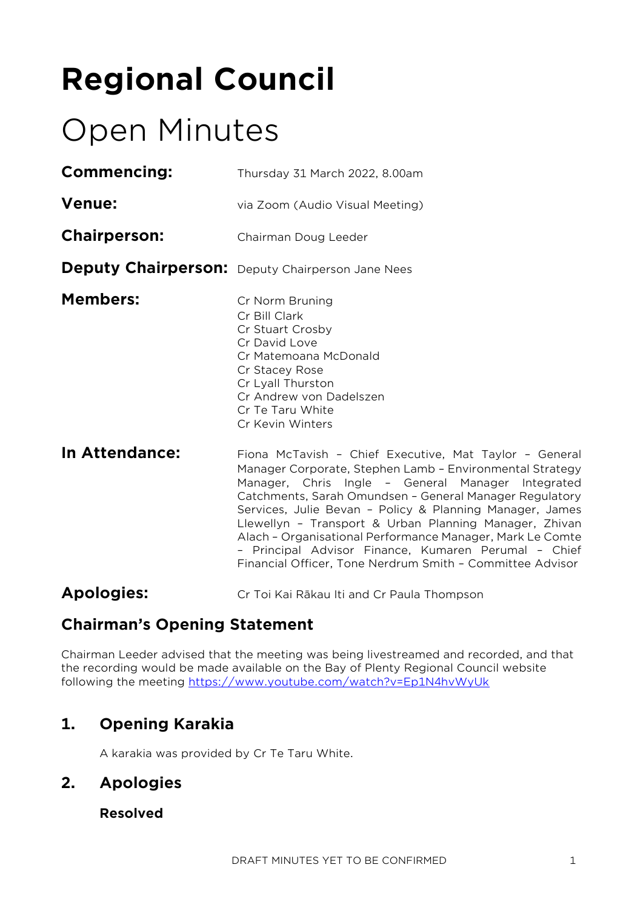# **Regional Council**

# Open Minutes

| <b>Commencing:</b>  | Thursday 31 March 2022, 8.00am                                                                                                                                                                           |
|---------------------|----------------------------------------------------------------------------------------------------------------------------------------------------------------------------------------------------------|
| <b>Venue:</b>       | via Zoom (Audio Visual Meeting)                                                                                                                                                                          |
| <b>Chairperson:</b> | Chairman Doug Leeder                                                                                                                                                                                     |
|                     | <b>Deputy Chairperson:</b> Deputy Chairperson Jane Nees                                                                                                                                                  |
| <b>Members:</b>     | Cr Norm Bruning<br>Cr Bill Clark<br>Cr Stuart Crosby<br>Cr David Love<br>Cr Matemoana McDonald<br>Cr Stacey Rose<br>Cr Lyall Thurston<br>Cr Andrew von Dadelszen<br>Cr Te Taru White<br>Cr Kevin Winters |
| In Attendance:      | Fiona McTavish - Chief Execut                                                                                                                                                                            |

Itive, Mat Taylor - General Manager Corporate, Stephen Lamb – Environmental Strategy Manager, Chris Ingle – General Manager Integrated Catchments, Sarah Omundsen – General Manager Regulatory Services, Julie Bevan – Policy & Planning Manager, James Llewellyn – Transport & Urban Planning Manager, Zhivan Alach – Organisational Performance Manager, Mark Le Comte – Principal Advisor Finance, Kumaren Perumal – Chief Financial Officer, Tone Nerdrum Smith – Committee Advisor

# **Apologies:** Cr Toi Kai Rākau Iti and Cr Paula Thompson

# **Chairman's Opening Statement**

Chairman Leeder advised that the meeting was being livestreamed and recorded, and that the recording would be made available on the Bay of Plenty Regional Council website following the meeting <https://www.youtube.com/watch?v=Ep1N4hvWyUk>

# **1. Opening Karakia**

A karakia was provided by Cr Te Taru White.

# **2. Apologies**

# **Resolved**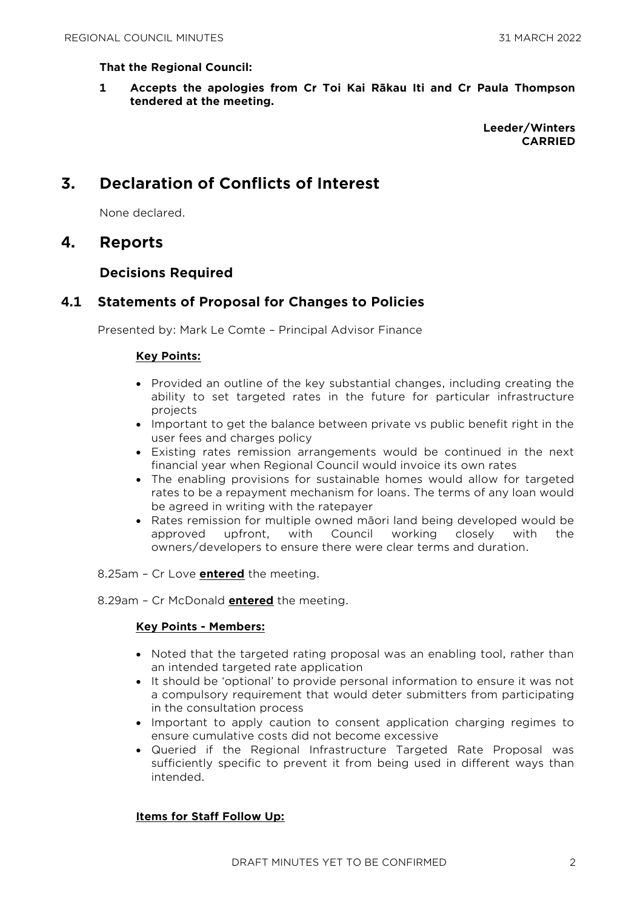#### **That the Regional Council:**

**1 Accepts the apologies from Cr Toi Kai Rākau Iti and Cr Paula Thompson tendered at the meeting.**

> **Leeder/Winters CARRIED**

# **3. Declaration of Conflicts of Interest**

None declared.

# **4. Reports**

## **Decisions Required**

# **4.1 Statements of Proposal for Changes to Policies**

Presented by: Mark Le Comte – Principal Advisor Finance

#### **Key Points:**

- Provided an outline of the key substantial changes, including creating the ability to set targeted rates in the future for particular infrastructure projects
- Important to get the balance between private vs public benefit right in the user fees and charges policy
- Existing rates remission arrangements would be continued in the next financial year when Regional Council would invoice its own rates
- The enabling provisions for sustainable homes would allow for targeted rates to be a repayment mechanism for loans. The terms of any loan would be agreed in writing with the ratepayer
- Rates remission for multiple owned māori land being developed would be approved upfront, with Council working closely with the owners/developers to ensure there were clear terms and duration.
- 8.25am Cr Love **entered** the meeting.

8.29am – Cr McDonald **entered** the meeting.

#### **Key Points - Members:**

- Noted that the targeted rating proposal was an enabling tool, rather than an intended targeted rate application
- It should be 'optional' to provide personal information to ensure it was not a compulsory requirement that would deter submitters from participating in the consultation process
- Important to apply caution to consent application charging regimes to ensure cumulative costs did not become excessive
- Queried if the Regional Infrastructure Targeted Rate Proposal was sufficiently specific to prevent it from being used in different ways than intended.

#### **Items for Staff Follow Up:**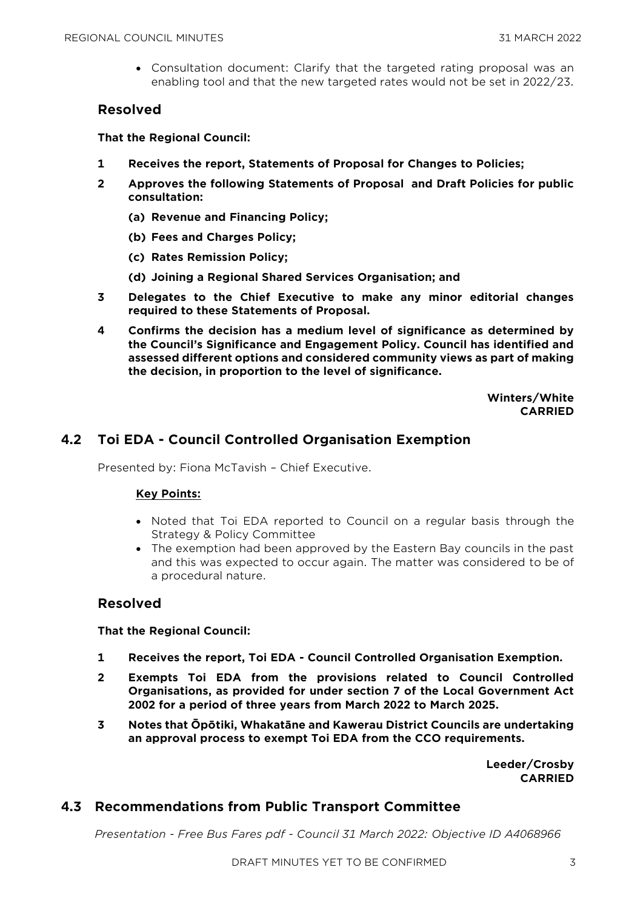Consultation document: Clarify that the targeted rating proposal was an enabling tool and that the new targeted rates would not be set in 2022/23.

## **Resolved**

**That the Regional Council:**

- **1 Receives the report, Statements of Proposal for Changes to Policies;**
- **2 Approves the following Statements of Proposal and Draft Policies for public consultation:**
	- **(a) Revenue and Financing Policy;**
	- **(b) Fees and Charges Policy;**
	- **(c) Rates Remission Policy;**
	- **(d) Joining a Regional Shared Services Organisation; and**
- **3 Delegates to the Chief Executive to make any minor editorial changes required to these Statements of Proposal.**
- **4 Confirms the decision has a medium level of significance as determined by the Council's Significance and Engagement Policy. Council has identified and assessed different options and considered community views as part of making the decision, in proportion to the level of significance.**

**Winters/White CARRIED**

# **4.2 Toi EDA - Council Controlled Organisation Exemption**

Presented by: Fiona McTavish – Chief Executive.

#### **Key Points:**

- Noted that Toi EDA reported to Council on a regular basis through the Strategy & Policy Committee
- The exemption had been approved by the Eastern Bay councils in the past and this was expected to occur again. The matter was considered to be of a procedural nature.

## **Resolved**

#### **That the Regional Council:**

- **1 Receives the report, Toi EDA - Council Controlled Organisation Exemption.**
- **2 Exempts Toi EDA from the provisions related to Council Controlled Organisations, as provided for under section 7 of the Local Government Act 2002 for a period of three years from March 2022 to March 2025.**
- **3 Notes that Ōpōtiki, Whakatāne and Kawerau District Councils are undertaking an approval process to exempt Toi EDA from the CCO requirements.**

**Leeder/Crosby CARRIED**

# **4.3 Recommendations from Public Transport Committee**

*Presentation - Free Bus Fares pdf - Council 31 March 2022: Objective ID A4068966*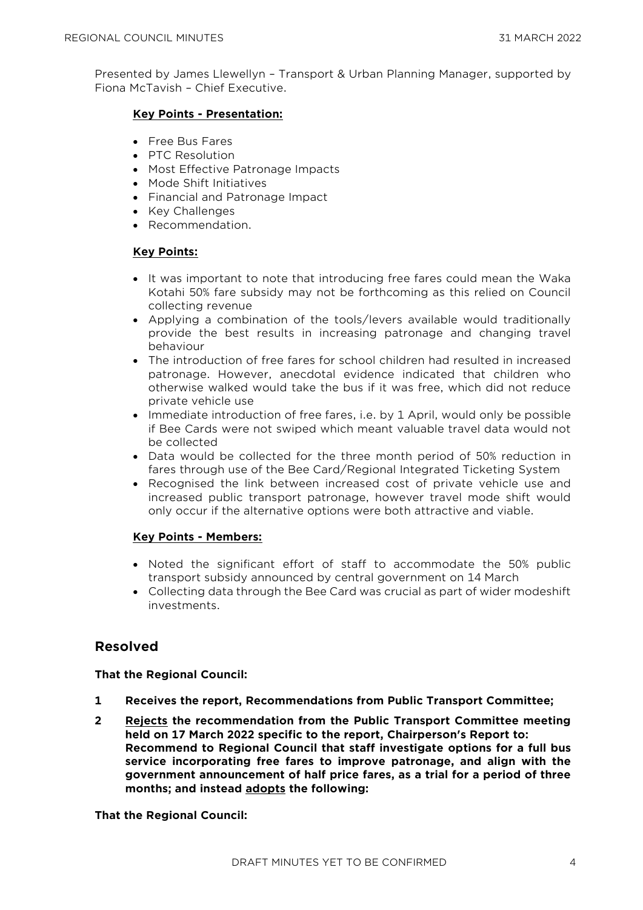Presented by James Llewellyn – Transport & Urban Planning Manager, supported by Fiona McTavish – Chief Executive.

### **Key Points - Presentation:**

- Free Bus Fares
- PTC Resolution
- Most Effective Patronage Impacts
- Mode Shift Initiatives
- Financial and Patronage Impact
- Key Challenges
- Recommendation.

## **Key Points:**

- It was important to note that introducing free fares could mean the Waka Kotahi 50% fare subsidy may not be forthcoming as this relied on Council collecting revenue
- Applying a combination of the tools/levers available would traditionally provide the best results in increasing patronage and changing travel behaviour
- The introduction of free fares for school children had resulted in increased patronage. However, anecdotal evidence indicated that children who otherwise walked would take the bus if it was free, which did not reduce private vehicle use
- Immediate introduction of free fares, i.e. by 1 April, would only be possible if Bee Cards were not swiped which meant valuable travel data would not be collected
- Data would be collected for the three month period of 50% reduction in fares through use of the Bee Card/Regional Integrated Ticketing System
- Recognised the link between increased cost of private vehicle use and increased public transport patronage, however travel mode shift would only occur if the alternative options were both attractive and viable.

### **Key Points - Members:**

- Noted the significant effort of staff to accommodate the 50% public transport subsidy announced by central government on 14 March
- Collecting data through the Bee Card was crucial as part of wider modeshift investments.

# **Resolved**

#### **That the Regional Council:**

- **1 Receives the report, Recommendations from Public Transport Committee;**
- **2 Rejects the recommendation from the Public Transport Committee meeting held on 17 March 2022 specific to the report, Chairperson's Report to: Recommend to Regional Council that staff investigate options for a full bus service incorporating free fares to improve patronage, and align with the government announcement of half price fares, as a trial for a period of three months; and instead adopts the following:**

#### **That the Regional Council:**